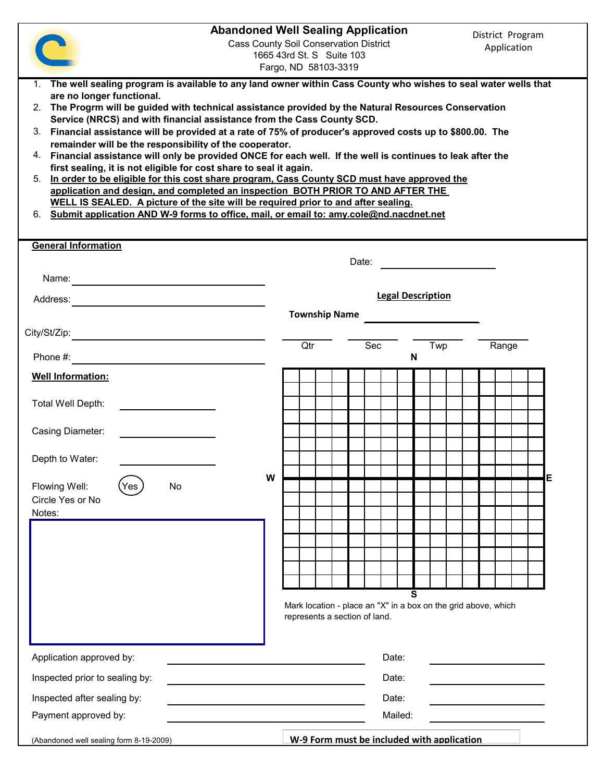|                                                                                                                                                                                                                                                                                                                                                                                                                                                                                                                                                                                                                                                                                                                                                                                                                                                                                                                                                                                                                                                                                          | <b>Abandoned Well Sealing Application</b> | <b>Cass County Soil Conservation District</b><br>1665 43rd St. S Suite 103<br>Fargo, ND 58103-3319 |         |                                                                     | District Program<br>Application |   |
|------------------------------------------------------------------------------------------------------------------------------------------------------------------------------------------------------------------------------------------------------------------------------------------------------------------------------------------------------------------------------------------------------------------------------------------------------------------------------------------------------------------------------------------------------------------------------------------------------------------------------------------------------------------------------------------------------------------------------------------------------------------------------------------------------------------------------------------------------------------------------------------------------------------------------------------------------------------------------------------------------------------------------------------------------------------------------------------|-------------------------------------------|----------------------------------------------------------------------------------------------------|---------|---------------------------------------------------------------------|---------------------------------|---|
| 1. The well sealing program is available to any land owner within Cass County who wishes to seal water wells that<br>are no longer functional.<br>2. The Progrm will be guided with technical assistance provided by the Natural Resources Conservation<br>Service (NRCS) and with financial assistance from the Cass County SCD.<br>Financial assistance will be provided at a rate of 75% of producer's approved costs up to \$800.00. The<br>3.<br>remainder will be the responsibility of the cooperator.<br>4. Financial assistance will only be provided ONCE for each well. If the well is continues to leak after the<br>first sealing, it is not eligible for cost share to seal it again.<br>In order to be eligible for this cost share program, Cass County SCD must have approved the<br>5.<br>application and design, and completed an inspection BOTH PRIOR TO AND AFTER THE<br><u>WELL IS SEALED. A picture of the site will be required prior to and after sealing.</u><br>Submit application AND W-9 forms to office, mail, or email to: amy.cole@nd.nacdnet.net<br>6. |                                           |                                                                                                    |         |                                                                     |                                 |   |
| <b>General Information</b>                                                                                                                                                                                                                                                                                                                                                                                                                                                                                                                                                                                                                                                                                                                                                                                                                                                                                                                                                                                                                                                               |                                           |                                                                                                    |         |                                                                     |                                 |   |
| Name:<br><u> 1989 - Andrea Station Books, amerikansk politik (</u>                                                                                                                                                                                                                                                                                                                                                                                                                                                                                                                                                                                                                                                                                                                                                                                                                                                                                                                                                                                                                       |                                           |                                                                                                    | Date:   |                                                                     |                                 |   |
| Address:<br><u> 1989 - Jan Stern Stern Stern Stern Stern Stern Stern Stern Stern Stern Stern Stern Stern Stern Stern Stern St</u>                                                                                                                                                                                                                                                                                                                                                                                                                                                                                                                                                                                                                                                                                                                                                                                                                                                                                                                                                        |                                           |                                                                                                    |         | <b>Legal Description</b>                                            |                                 |   |
|                                                                                                                                                                                                                                                                                                                                                                                                                                                                                                                                                                                                                                                                                                                                                                                                                                                                                                                                                                                                                                                                                          |                                           | <b>Township Name</b>                                                                               |         |                                                                     |                                 |   |
| City/St/Zip:<br><u> 1980 - Jan James James Barbara, martxa a shekara 1980 - 1981 - 1982 - 1982 - 1982 - 1982 - 1982 - 1982 - 198</u><br>Phone #:                                                                                                                                                                                                                                                                                                                                                                                                                                                                                                                                                                                                                                                                                                                                                                                                                                                                                                                                         |                                           | Qtr                                                                                                | Sec     | Twp<br>N                                                            | Range                           |   |
| <b>Well Information:</b>                                                                                                                                                                                                                                                                                                                                                                                                                                                                                                                                                                                                                                                                                                                                                                                                                                                                                                                                                                                                                                                                 |                                           |                                                                                                    |         |                                                                     |                                 |   |
| Total Well Depth:                                                                                                                                                                                                                                                                                                                                                                                                                                                                                                                                                                                                                                                                                                                                                                                                                                                                                                                                                                                                                                                                        |                                           |                                                                                                    |         |                                                                     |                                 |   |
| <b>Casing Diameter:</b>                                                                                                                                                                                                                                                                                                                                                                                                                                                                                                                                                                                                                                                                                                                                                                                                                                                                                                                                                                                                                                                                  |                                           |                                                                                                    |         |                                                                     |                                 |   |
| Depth to Water:                                                                                                                                                                                                                                                                                                                                                                                                                                                                                                                                                                                                                                                                                                                                                                                                                                                                                                                                                                                                                                                                          |                                           |                                                                                                    |         |                                                                     |                                 |   |
| No<br>Flowing Well:<br>res<br>Circle Yes or No<br>Notes:                                                                                                                                                                                                                                                                                                                                                                                                                                                                                                                                                                                                                                                                                                                                                                                                                                                                                                                                                                                                                                 | W                                         |                                                                                                    |         |                                                                     |                                 | Е |
|                                                                                                                                                                                                                                                                                                                                                                                                                                                                                                                                                                                                                                                                                                                                                                                                                                                                                                                                                                                                                                                                                          |                                           |                                                                                                    |         |                                                                     |                                 |   |
|                                                                                                                                                                                                                                                                                                                                                                                                                                                                                                                                                                                                                                                                                                                                                                                                                                                                                                                                                                                                                                                                                          |                                           |                                                                                                    |         |                                                                     |                                 |   |
|                                                                                                                                                                                                                                                                                                                                                                                                                                                                                                                                                                                                                                                                                                                                                                                                                                                                                                                                                                                                                                                                                          |                                           |                                                                                                    |         |                                                                     |                                 |   |
|                                                                                                                                                                                                                                                                                                                                                                                                                                                                                                                                                                                                                                                                                                                                                                                                                                                                                                                                                                                                                                                                                          |                                           | represents a section of land.                                                                      |         | S<br>Mark location - place an "X" in a box on the grid above, which |                                 |   |
| Application approved by:                                                                                                                                                                                                                                                                                                                                                                                                                                                                                                                                                                                                                                                                                                                                                                                                                                                                                                                                                                                                                                                                 |                                           |                                                                                                    | Date:   |                                                                     |                                 |   |
| Inspected prior to sealing by:                                                                                                                                                                                                                                                                                                                                                                                                                                                                                                                                                                                                                                                                                                                                                                                                                                                                                                                                                                                                                                                           |                                           |                                                                                                    | Date:   |                                                                     |                                 |   |
| Inspected after sealing by:                                                                                                                                                                                                                                                                                                                                                                                                                                                                                                                                                                                                                                                                                                                                                                                                                                                                                                                                                                                                                                                              |                                           |                                                                                                    | Date:   |                                                                     |                                 |   |
| Payment approved by:                                                                                                                                                                                                                                                                                                                                                                                                                                                                                                                                                                                                                                                                                                                                                                                                                                                                                                                                                                                                                                                                     |                                           |                                                                                                    | Mailed: |                                                                     |                                 |   |
| (Abandoned well sealing form 8-19-2009)                                                                                                                                                                                                                                                                                                                                                                                                                                                                                                                                                                                                                                                                                                                                                                                                                                                                                                                                                                                                                                                  |                                           |                                                                                                    |         | W-9 Form must be included with application                          |                                 |   |